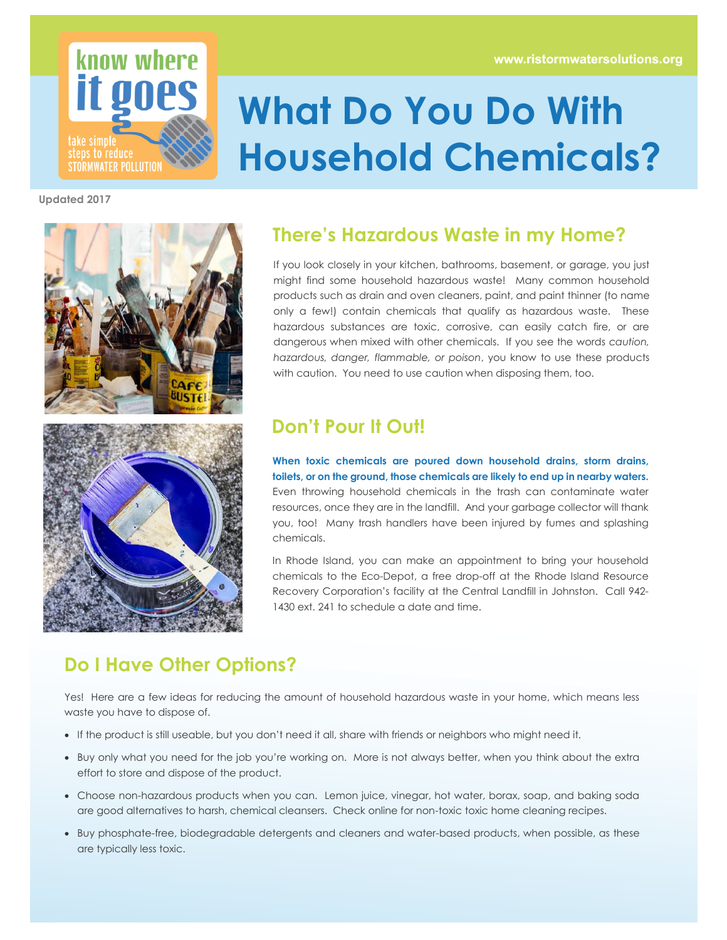

# **What Do You Do With Household Chemicals?**

**Updated 2017**



#### **There's Hazardous Waste in my Home?**

If you look closely in your kitchen, bathrooms, basement, or garage, you just might find some household hazardous waste! Many common household products such as drain and oven cleaners, paint, and paint thinner (to name only a few!) contain chemicals that qualify as hazardous waste. These hazardous substances are toxic, corrosive, can easily catch fire, or are dangerous when mixed with other chemicals. If you see the words *caution, hazardous, danger, flammable, or poison*, you know to use these products with caution. You need to use caution when disposing them, too.

#### **Don't Pour It Out!**

**When toxic chemicals are poured down household drains, storm drains, toilets, or on the ground, those chemicals are likely to end up in nearby waters.** Even throwing household chemicals in the trash can contaminate water resources, once they are in the landfill. And your garbage collector will thank you, too! Many trash handlers have been injured by fumes and splashing chemicals.

In Rhode Island, you can make an appointment to bring your household chemicals to the Eco-Depot, a free drop-off at the Rhode Island Resource Recovery Corporation's facility at the Central Landfill in Johnston. Call 942- 1430 ext. 241 to schedule a date and time.

#### **Do I Have Other Options?**

Yes! Here are a few ideas for reducing the amount of household hazardous waste in your home, which means less waste you have to dispose of.

- If the product is still useable, but you don't need it all, share with friends or neighbors who might need it.
- Buy only what you need for the job you're working on. More is not always better, when you think about the extra effort to store and dispose of the product.
- Choose non-hazardous products when you can. Lemon juice, vinegar, hot water, borax, soap, and baking soda are good alternatives to harsh, chemical cleansers. Check online for non-toxic toxic home cleaning recipes.
- Buy phosphate-free, biodegradable detergents and cleaners and water-based products, when possible, as these are typically less toxic.